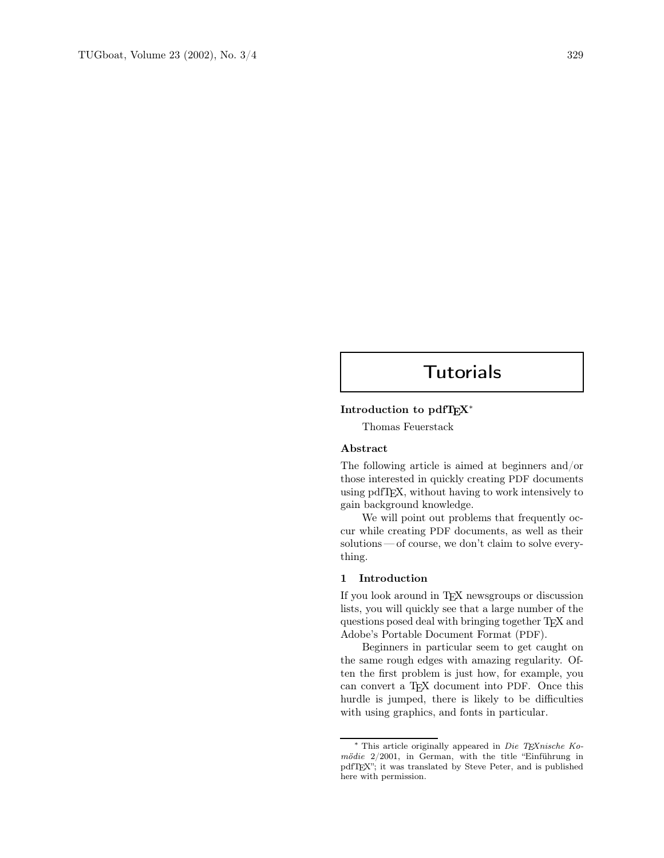# **Tutorials**

# Introduction to pdfTEX<sup>∗</sup>

Thomas Feuerstack

## Abstract

The following article is aimed at beginners and/or those interested in quickly creating PDF documents using pdfTEX, without having to work intensively to gain background knowledge.

We will point out problems that frequently occur while creating PDF documents, as well as their solutions — of course, we don't claim to solve everything.

# 1 Introduction

If you look around in TEX newsgroups or discussion lists, you will quickly see that a large number of the questions posed deal with bringing together TEX and Adobe's Portable Document Format (PDF).

Beginners in particular seem to get caught on the same rough edges with amazing regularity. Often the first problem is just how, for example, you can convert a T<sub>F</sub>X document into PDF. Once this hurdle is jumped, there is likely to be difficulties with using graphics, and fonts in particular.

<sup>∗</sup> This article originally appeared in Die TEXnische Komödie 2/2001, in German, with the title "Einführung in pdfTEX"; it was translated by Steve Peter, and is published here with permission.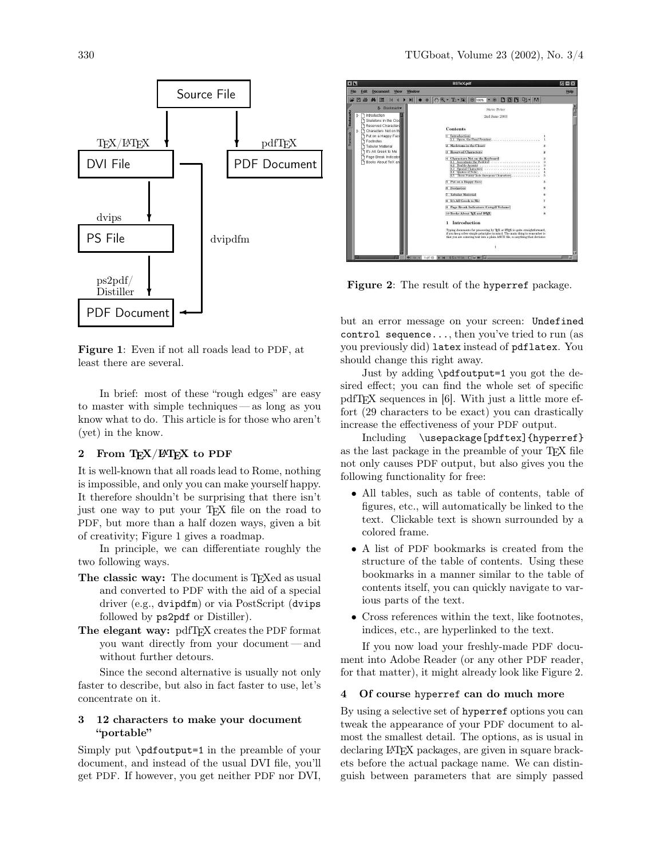

Figure 1: Even if not all roads lead to PDF, at least there are several.

In brief: most of these "rough edges" are easy to master with simple techniques — as long as you know what to do. This article is for those who aren't (yet) in the know.

## 2 From TEX/LATEX to PDF

It is well-known that all roads lead to Rome, nothing is impossible, and only you can make yourself happy. It therefore shouldn't be surprising that there isn't just one way to put your T<sub>E</sub>X file on the road to PDF, but more than a half dozen ways, given a bit of creativity; Figure 1 gives a roadmap.

In principle, we can differentiate roughly the two following ways.

- The classic way: The document is T<sub>E</sub>Xed as usual and converted to PDF with the aid of a special driver (e.g., dvipdfm) or via PostScript (dvips followed by ps2pdf or Distiller).
- The elegant way: pdfTEX creates the PDF format you want directly from your document — and without further detours.

Since the second alternative is usually not only faster to describe, but also in fact faster to use, let's concentrate on it.

## 3 12 characters to make your document "portable"

Simply put \pdfoutput=1 in the preamble of your document, and instead of the usual DVI file, you'll get PDF. If however, you get neither PDF nor DVI,

| 百国                   |                                                                                                                                                                                                                                                                     |        | <b>BSTeX.pdf</b>                                                                                                                                                                                                                                                                                                                                                                                                                                                           | 同                |
|----------------------|---------------------------------------------------------------------------------------------------------------------------------------------------------------------------------------------------------------------------------------------------------------------|--------|----------------------------------------------------------------------------------------------------------------------------------------------------------------------------------------------------------------------------------------------------------------------------------------------------------------------------------------------------------------------------------------------------------------------------------------------------------------------------|------------------|
| File                 | <b>Document</b><br>View<br>Edit                                                                                                                                                                                                                                     | Window |                                                                                                                                                                                                                                                                                                                                                                                                                                                                            | Help             |
| 戍                    | 圖<br>旧<br>e<br>d4                                                                                                                                                                                                                                                   |        | $D D D P$<br>$T - 5$<br>@ 100%<br>$- 0$                                                                                                                                                                                                                                                                                                                                                                                                                                    |                  |
| Þ<br>b<br>Thumbrials | <b>B</b> Bookmark<br><sup>1</sup> Introduction<br>Skeletons in the Clos<br><b>Reserved Characters</b><br>Characters Not on th<br>Put on a Happy Face<br>Footnotes<br><b>Tabular Material</b><br>It's All Greek to Me.<br>Page Break Indicator<br>Books About TeX an |        | Steve Peter<br>2nd June 2003<br><b>Contents</b><br>1 Introduction<br>1.1 Space, the Final Frontier.<br>2 Skeletons in the Closet<br><b>Reserved Characters</b><br>57<br>4 Characters Not on the Keyboard<br>4.1 Accentuate the Positive<br>4.3<br>4.5 Them Funny Indo-European Characters<br>Put on a Happy Face<br>6 Footnotes<br><b>Tabular Material</b><br><b>S</b> It's All Greek to Me<br>Page Break Indicators (Cowgill Volume)<br>87<br>10 Books About TFX and BTEX | я<br>ł<br>Б<br>8 |
|                      |                                                                                                                                                                                                                                                                     |        | Introduction<br>1<br>Typing documents for processing by TzX or BTzX is quite straightforward,<br>if you keep a few simple principles in mind. The main thing to remember is<br>that you are entering text into a plain ASCII file, so anything that deviates                                                                                                                                                                                                               |                  |

Figure 2: The result of the hyperref package.

but an error message on your screen: Undefined control sequence..., then you've tried to run (as you previously did) latex instead of pdflatex. You should change this right away.

Just by adding \pdfoutput=1 you got the desired effect; you can find the whole set of specific pdfTEX sequences in [6]. With just a little more effort (29 characters to be exact) you can drastically increase the effectiveness of your PDF output.

Including \usepackage[pdftex]{hyperref} as the last package in the preamble of your T<sub>E</sub>X file not only causes PDF output, but also gives you the following functionality for free:

- All tables, such as table of contents, table of figures, etc., will automatically be linked to the text. Clickable text is shown surrounded by a colored frame.
- A list of PDF bookmarks is created from the structure of the table of contents. Using these bookmarks in a manner similar to the table of contents itself, you can quickly navigate to various parts of the text.
- Cross references within the text, like footnotes, indices, etc., are hyperlinked to the text.

If you now load your freshly-made PDF document into Adobe Reader (or any other PDF reader, for that matter), it might already look like Figure 2.

#### 4 Of course hyperref can do much more

By using a selective set of hyperref options you can tweak the appearance of your PDF document to almost the smallest detail. The options, as is usual in declaring L<sup>A</sup>TEX packages, are given in square brackets before the actual package name. We can distinguish between parameters that are simply passed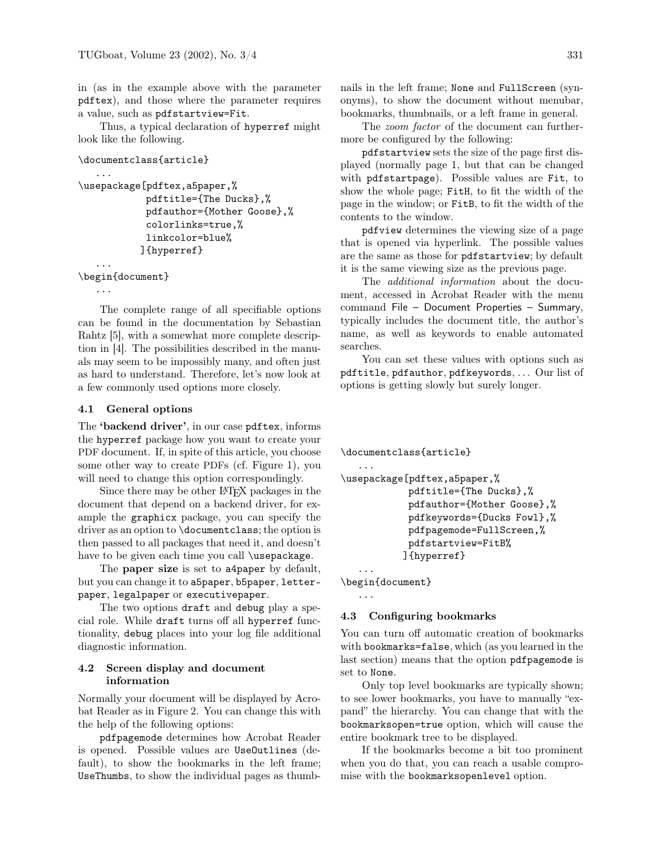in (as in the example above with the parameter pdftex), and those where the parameter requires a value, such as pdfstartview=Fit.

Thus, a typical declaration of hyperref might look like the following.

```
\documentclass{article}
```

```
\usepackage[pdftex,a5paper,%
            pdftitle={The Ducks},%
            pdfauthor={Mother Goose},%
            colorlinks=true,%
            linkcolor=blue%
           ]{hyperref}
   ...
```
\begin{document}

```
...
```
...

The complete range of all specifiable options can be found in the documentation by Sebastian Rahtz [5], with a somewhat more complete description in [4]. The possibilities described in the manuals may seem to be impossibly many, and often just as hard to understand. Therefore, let's now look at a few commonly used options more closely.

# 4.1 General options

The 'backend driver', in our case pdftex, informs the hyperref package how you want to create your PDF document. If, in spite of this article, you choose some other way to create PDFs (cf. Figure 1), you will need to change this option correspondingly.

Since there may be other L<sup>A</sup>TEX packages in the document that depend on a backend driver, for example the graphicx package, you can specify the driver as an option to \documentclass; the option is then passed to all packages that need it, and doesn't have to be given each time you call \usepackage.

The **paper size** is set to **a4paper** by default, but you can change it to a5paper, b5paper, letterpaper, legalpaper or executivepaper.

The two options draft and debug play a special role. While draft turns off all hyperref functionality, debug places into your log file additional diagnostic information.

# 4.2 Screen display and document information

Normally your document will be displayed by Acrobat Reader as in Figure 2. You can change this with the help of the following options:

pdfpagemode determines how Acrobat Reader is opened. Possible values are UseOutlines (default), to show the bookmarks in the left frame; UseThumbs, to show the individual pages as thumbnails in the left frame; None and FullScreen (synonyms), to show the document without menubar, bookmarks, thumbnails, or a left frame in general.

The zoom factor of the document can furthermore be configured by the following:

pdfstartview sets the size of the page first displayed (normally page 1, but that can be changed with pdfstartpage). Possible values are Fit, to show the whole page; FitH, to fit the width of the page in the window; or FitB, to fit the width of the contents to the window.

pdfview determines the viewing size of a page that is opened via hyperlink. The possible values are the same as those for pdfstartview; by default it is the same viewing size as the previous page.

The additional information about the document, accessed in Acrobat Reader with the menu command File – Document Properties – Summary, typically includes the document title, the author's name, as well as keywords to enable automated searches.

You can set these values with options such as pdftitle, pdfauthor, pdfkeywords, . . . Our list of options is getting slowly but surely longer.

\documentclass{article}

```
...
```

```
\usepackage[pdftex,a5paper,%
           pdftitle={The Ducks},%
           pdfauthor={Mother Goose},%
           pdfkeywords={Ducks Fowl},%
           pdfpagemode=FullScreen,%
           pdfstartview=FitB%
           ]{hyperref}
```
\begin{document}

...

...

# 4.3 Configuring bookmarks

You can turn off automatic creation of bookmarks with bookmarks=false, which (as you learned in the last section) means that the option pdfpagemode is set to None.

Only top level bookmarks are typically shown; to see lower bookmarks, you have to manually "expand" the hierarchy. You can change that with the bookmarksopen=true option, which will cause the entire bookmark tree to be displayed.

If the bookmarks become a bit too prominent when you do that, you can reach a usable compromise with the bookmarksopenlevel option.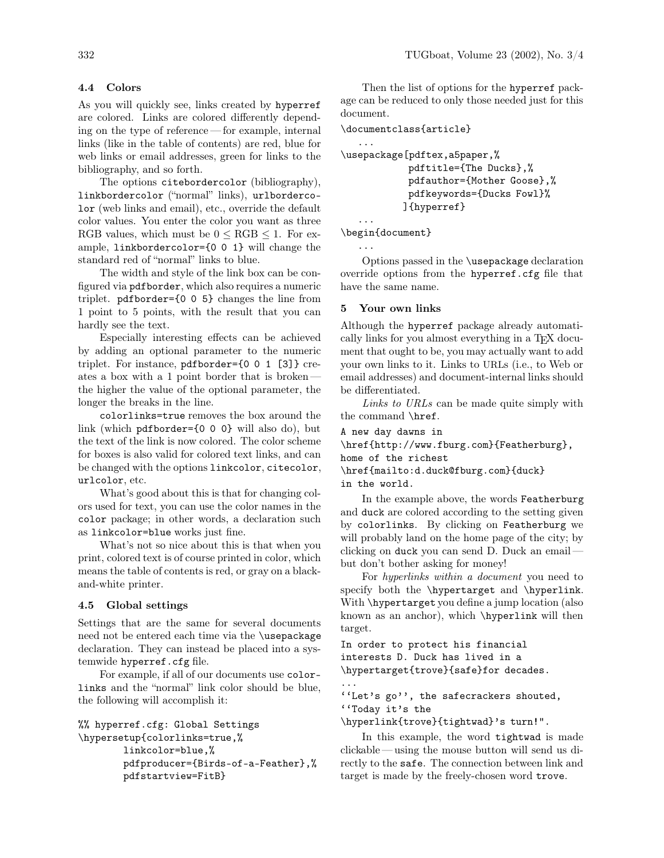# 4.4 Colors

As you will quickly see, links created by hyperref are colored. Links are colored differently depending on the type of reference — for example, internal links (like in the table of contents) are red, blue for web links or email addresses, green for links to the bibliography, and so forth.

The options citebordercolor (bibliography), linkbordercolor ("normal" links), urlbordercolor (web links and email), etc., override the default color values. You enter the color you want as three RGB values, which must be  $0 \leq RGB \leq 1$ . For example, linkbordercolor={0 0 1} will change the standard red of "normal" links to blue.

The width and style of the link box can be configured via pdfborder, which also requires a numeric triplet. pdfborder={0 0 5} changes the line from 1 point to 5 points, with the result that you can hardly see the text.

Especially interesting effects can be achieved by adding an optional parameter to the numeric triplet. For instance, pdfborder={0 0 1 [3]} creates a box with a 1 point border that is broken the higher the value of the optional parameter, the longer the breaks in the line.

colorlinks=true removes the box around the link (which pdfborder={0 0 0} will also do), but the text of the link is now colored. The color scheme for boxes is also valid for colored text links, and can be changed with the options linkcolor, citecolor, urlcolor, etc.

What's good about this is that for changing colors used for text, you can use the color names in the color package; in other words, a declaration such as linkcolor=blue works just fine.

What's not so nice about this is that when you print, colored text is of course printed in color, which means the table of contents is red, or gray on a blackand-white printer.

# 4.5 Global settings

Settings that are the same for several documents need not be entered each time via the \usepackage declaration. They can instead be placed into a systemwide hyperref.cfg file.

For example, if all of our documents use colorlinks and the "normal" link color should be blue, the following will accomplish it:

```
%% hyperref.cfg: Global Settings
\hypersetup{colorlinks=true,%
        linkcolor=blue,%
        pdfproducer={Birds-of-a-Feather},%
        pdfstartview=FitB}
```
Then the list of options for the hyperref package can be reduced to only those needed just for this document.

```
\documentclass{article}
```

```
...
\usepackage[pdftex,a5paper,%
           pdftitle={The Ducks},%
           pdfauthor={Mother Goose},%
            pdfkeywords={Ducks Fowl}%
```
]{hyperref}

... \begin{document}

```
...
```
Options passed in the \usepackage declaration override options from the hyperref.cfg file that have the same name.

## 5 Your own links

Although the hyperref package already automatically links for you almost everything in a TEX document that ought to be, you may actually want to add your own links to it. Links to URLs (i.e., to Web or email addresses) and document-internal links should be differentiated.

Links to URLs can be made quite simply with the command \href.

A new day dawns in \href{http://www.fburg.com}{Featherburg}, home of the richest \href{mailto:d.duck@fburg.com}{duck} in the world.

In the example above, the words Featherburg and duck are colored according to the setting given by colorlinks. By clicking on Featherburg we will probably land on the home page of the city; by clicking on duck you can send D. Duck an email but don't bother asking for money!

For hyperlinks within a document you need to specify both the \hypertarget and \hyperlink. With \hypertarget you define a jump location (also known as an anchor), which \hyperlink will then target.

In order to protect his financial interests D. Duck has lived in a \hypertarget{trove}{safe}for decades.

... ''Let's go'', the safecrackers shouted,

''Today it's the

\hyperlink{trove}{tightwad}'s turn!".

In this example, the word tightwad is made clickable — using the mouse button will send us directly to the safe. The connection between link and target is made by the freely-chosen word trove.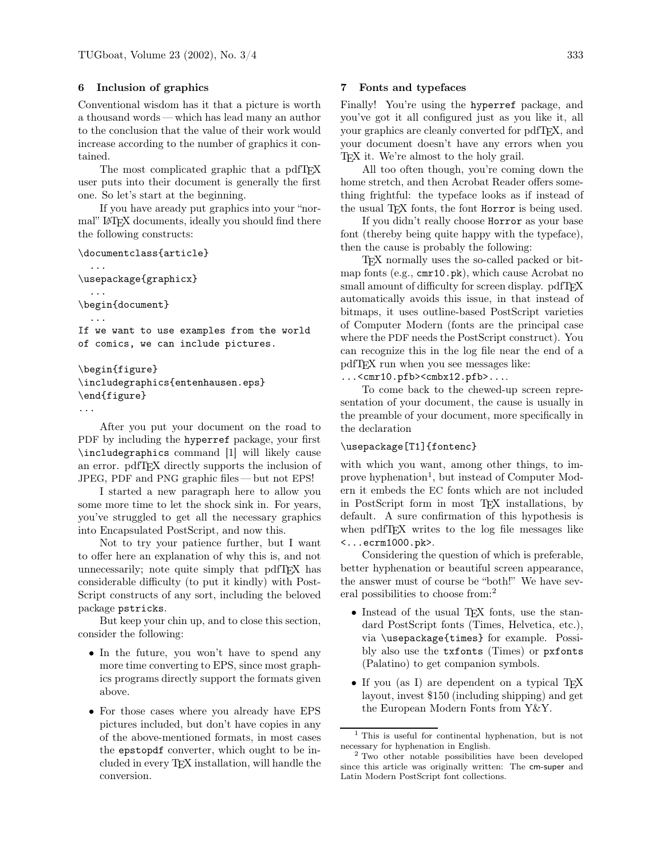# 6 Inclusion of graphics

Conventional wisdom has it that a picture is worth a thousand words — which has lead many an author to the conclusion that the value of their work would increase according to the number of graphics it contained.

The most complicated graphic that a pdfT<sub>E</sub>X user puts into their document is generally the first one. So let's start at the beginning.

If you have aready put graphics into your "normal" L<sup>A</sup>TEX documents, ideally you should find there the following constructs:

```
\documentclass{article}
  ...
\usepackage{graphicx}
  ...
\begin{document}
  ...
If we want to use examples from the world
of comics, we can include pictures.
\begin{figure}
\includegraphics{entenhausen.eps}
\end{figure}
```
...

After you put your document on the road to PDF by including the hyperref package, your first \includegraphics command [1] will likely cause an error. pdfTEX directly supports the inclusion of JPEG, PDF and PNG graphic files — but not EPS!

I started a new paragraph here to allow you some more time to let the shock sink in. For years, you've struggled to get all the necessary graphics into Encapsulated PostScript, and now this.

Not to try your patience further, but I want to offer here an explanation of why this is, and not unnecessarily; note quite simply that pdfTEX has considerable difficulty (to put it kindly) with Post-Script constructs of any sort, including the beloved package pstricks.

But keep your chin up, and to close this section, consider the following:

- In the future, you won't have to spend any more time converting to EPS, since most graphics programs directly support the formats given above.
- For those cases where you already have EPS pictures included, but don't have copies in any of the above-mentioned formats, in most cases the epstopdf converter, which ought to be included in every TEX installation, will handle the conversion.

## 7 Fonts and typefaces

Finally! You're using the hyperref package, and you've got it all configured just as you like it, all your graphics are cleanly converted for pdfTEX, and your document doesn't have any errors when you TEX it. We're almost to the holy grail.

All too often though, you're coming down the home stretch, and then Acrobat Reader offers something frightful: the typeface looks as if instead of the usual T<sub>F</sub>X fonts, the font Horror is being used.

If you didn't really choose Horror as your base font (thereby being quite happy with the typeface), then the cause is probably the following:

TEX normally uses the so-called packed or bitmap fonts (e.g., cmr10.pk), which cause Acrobat no small amount of difficulty for screen display. pdfTFX automatically avoids this issue, in that instead of bitmaps, it uses outline-based PostScript varieties of Computer Modern (fonts are the principal case where the PDF needs the PostScript construct). You can recognize this in the log file near the end of a pdfTEX run when you see messages like:

 $\ldots$ <cmr10.pfb><cmbx12.pfb> $\ldots$ 

To come back to the chewed-up screen representation of your document, the cause is usually in the preamble of your document, more specifically in the declaration

## \usepackage[T1]{fontenc}

with which you want, among other things, to improve hyphenation<sup>1</sup>, but instead of Computer Modern it embeds the EC fonts which are not included in PostScript form in most TEX installations, by default. A sure confirmation of this hypothesis is when pdfTEX writes to the log file messages like <...ecrm1000.pk>.

Considering the question of which is preferable, better hyphenation or beautiful screen appearance, the answer must of course be "both!" We have several possibilities to choose from:<sup>2</sup>

- Instead of the usual TEX fonts, use the standard PostScript fonts (Times, Helvetica, etc.), via \usepackage{times} for example. Possibly also use the txfonts (Times) or pxfonts (Palatino) to get companion symbols.
- If you (as I) are dependent on a typical T<sub>EX</sub> layout, invest \$150 (including shipping) and get the European Modern Fonts from Y&Y.

<sup>1</sup> This is useful for continental hyphenation, but is not necessary for hyphenation in English.

<sup>2</sup> Two other notable possibilities have been developed since this article was originally written: The cm-super and Latin Modern PostScript font collections.